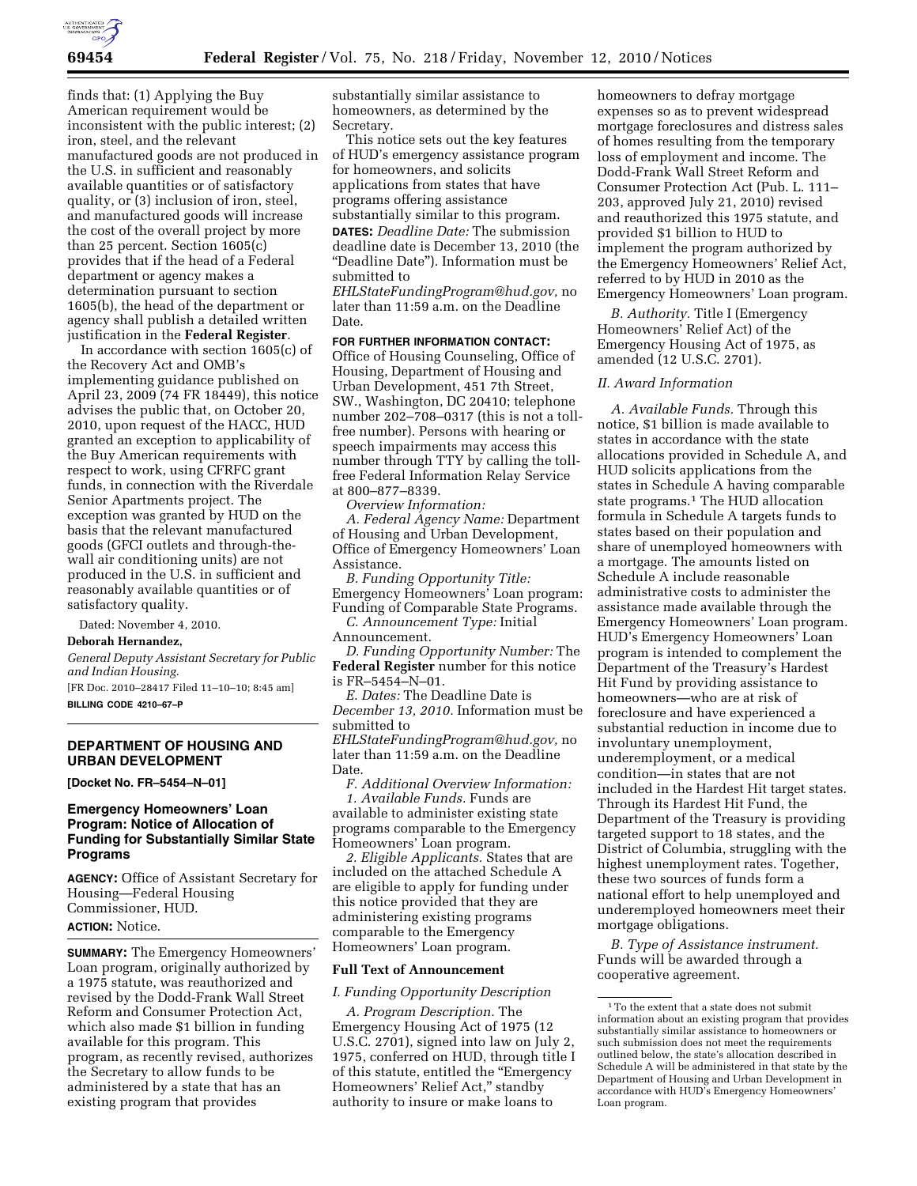

finds that: (1) Applying the Buy American requirement would be inconsistent with the public interest; (2) iron, steel, and the relevant manufactured goods are not produced in the U.S. in sufficient and reasonably available quantities or of satisfactory quality, or (3) inclusion of iron, steel, and manufactured goods will increase the cost of the overall project by more than 25 percent. Section 1605(c) provides that if the head of a Federal department or agency makes a determination pursuant to section 1605(b), the head of the department or agency shall publish a detailed written justification in the **Federal Register**.

In accordance with section 1605(c) of the Recovery Act and OMB's implementing guidance published on April 23, 2009 (74 FR 18449), this notice advises the public that, on October 20, 2010, upon request of the HACC, HUD granted an exception to applicability of the Buy American requirements with respect to work, using CFRFC grant funds, in connection with the Riverdale Senior Apartments project. The exception was granted by HUD on the basis that the relevant manufactured goods (GFCI outlets and through-thewall air conditioning units) are not produced in the U.S. in sufficient and reasonably available quantities or of satisfactory quality.

Dated: November 4, 2010.

#### **Deborah Hernandez,**

*General Deputy Assistant Secretary for Public and Indian Housing.* 

[FR Doc. 2010–28417 Filed 11–10–10; 8:45 am] **BILLING CODE 4210–67–P** 

# **DEPARTMENT OF HOUSING AND URBAN DEVELOPMENT**

**[Docket No. FR–5454–N–01]** 

# **Emergency Homeowners' Loan Program: Notice of Allocation of Funding for Substantially Similar State Programs**

**AGENCY:** Office of Assistant Secretary for Housing—Federal Housing Commissioner, HUD. **ACTION:** Notice.

**SUMMARY:** The Emergency Homeowners' Loan program, originally authorized by a 1975 statute, was reauthorized and revised by the Dodd-Frank Wall Street Reform and Consumer Protection Act, which also made \$1 billion in funding available for this program. This program, as recently revised, authorizes the Secretary to allow funds to be administered by a state that has an existing program that provides

substantially similar assistance to homeowners, as determined by the Secretary.

This notice sets out the key features of HUD's emergency assistance program for homeowners, and solicits applications from states that have programs offering assistance substantially similar to this program. **DATES:** *Deadline Date:* The submission deadline date is December 13, 2010 (the ''Deadline Date''). Information must be submitted to

*[EHLStateFundingProgram@hud.gov,](mailto:EHLStateFundingProgram@hud.gov)* no later than 11:59 a.m. on the Deadline Date.

# **FOR FURTHER INFORMATION CONTACT:**

Office of Housing Counseling, Office of Housing, Department of Housing and Urban Development, 451 7th Street, SW., Washington, DC 20410; telephone number 202–708–0317 (this is not a tollfree number). Persons with hearing or speech impairments may access this number through TTY by calling the tollfree Federal Information Relay Service at 800–877–8339.

*Overview Information:* 

*A. Federal Agency Name:* Department of Housing and Urban Development, Office of Emergency Homeowners' Loan Assistance.

*B. Funding Opportunity Title:*  Emergency Homeowners' Loan program: Funding of Comparable State Programs. *C. Announcement Type:* Initial

Announcement.

*D. Funding Opportunity Number:* The **Federal Register** number for this notice is FR–5454–N–01.

*E. Dates:* The Deadline Date is *December 13, 2010.* Information must be submitted to

*[EHLStateFundingProgram@hud.gov,](mailto:EHLStateFundingProgram@hud.gov)* no later than 11:59 a.m. on the Deadline Date.

*F. Additional Overview Information: 1. Available Funds.* Funds are available to administer existing state programs comparable to the Emergency Homeowners' Loan program.

*2. Eligible Applicants.* States that are included on the attached Schedule A are eligible to apply for funding under this notice provided that they are administering existing programs comparable to the Emergency Homeowners' Loan program.

# **Full Text of Announcement**

#### *I. Funding Opportunity Description*

*A. Program Description.* The Emergency Housing Act of 1975 (12 U.S.C. 2701), signed into law on July 2, 1975, conferred on HUD, through title I of this statute, entitled the "Emergency Homeowners' Relief Act,'' standby authority to insure or make loans to

homeowners to defray mortgage expenses so as to prevent widespread mortgage foreclosures and distress sales of homes resulting from the temporary loss of employment and income. The Dodd-Frank Wall Street Reform and Consumer Protection Act (Pub. L. 111– 203, approved July 21, 2010) revised and reauthorized this 1975 statute, and provided \$1 billion to HUD to implement the program authorized by the Emergency Homeowners' Relief Act, referred to by HUD in 2010 as the Emergency Homeowners' Loan program.

*B. Authority.* Title I (Emergency Homeowners' Relief Act) of the Emergency Housing Act of 1975, as amended (12 U.S.C. 2701).

#### *II. Award Information*

*A. Available Funds.* Through this notice, \$1 billion is made available to states in accordance with the state allocations provided in Schedule A, and HUD solicits applications from the states in Schedule A having comparable state programs.1 The HUD allocation formula in Schedule A targets funds to states based on their population and share of unemployed homeowners with a mortgage. The amounts listed on Schedule A include reasonable administrative costs to administer the assistance made available through the Emergency Homeowners' Loan program. HUD's Emergency Homeowners' Loan program is intended to complement the Department of the Treasury's Hardest Hit Fund by providing assistance to homeowners—who are at risk of foreclosure and have experienced a substantial reduction in income due to involuntary unemployment, underemployment, or a medical condition—in states that are not included in the Hardest Hit target states. Through its Hardest Hit Fund, the Department of the Treasury is providing targeted support to 18 states, and the District of Columbia, struggling with the highest unemployment rates. Together, these two sources of funds form a national effort to help unemployed and underemployed homeowners meet their mortgage obligations.

*B. Type of Assistance instrument.*  Funds will be awarded through a cooperative agreement.

 $^{\rm 1}\rm{To}$  the extent that a state does not submit information about an existing program that provides substantially similar assistance to homeowners or such submission does not meet the requirements outlined below, the state's allocation described in Schedule A will be administered in that state by the Department of Housing and Urban Development in accordance with HUD's Emergency Homeowners' Loan program.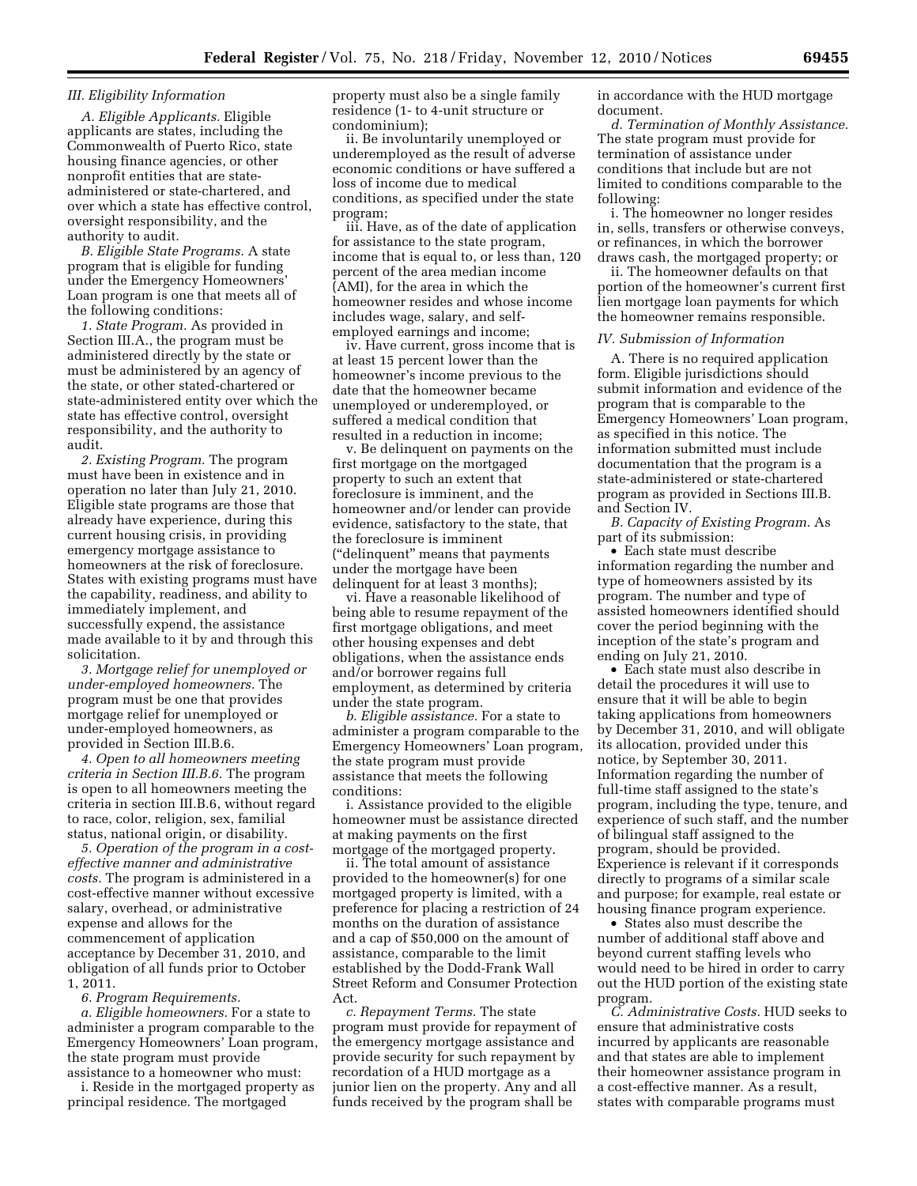# *III. Eligibility Information*

*A. Eligible Applicants.* Eligible applicants are states, including the Commonwealth of Puerto Rico, state housing finance agencies, or other nonprofit entities that are stateadministered or state-chartered, and over which a state has effective control, oversight responsibility, and the authority to audit.

*B. Eligible State Programs.* A state program that is eligible for funding under the Emergency Homeowners' Loan program is one that meets all of the following conditions:

*1. State Program.* As provided in Section III.A., the program must be administered directly by the state or must be administered by an agency of the state, or other stated-chartered or state-administered entity over which the state has effective control, oversight responsibility, and the authority to audit.

*2. Existing Program.* The program must have been in existence and in operation no later than July 21, 2010. Eligible state programs are those that already have experience, during this current housing crisis, in providing emergency mortgage assistance to homeowners at the risk of foreclosure. States with existing programs must have the capability, readiness, and ability to immediately implement, and successfully expend, the assistance made available to it by and through this solicitation.

*3. Mortgage relief for unemployed or under-employed homeowners.* The program must be one that provides mortgage relief for unemployed or under-employed homeowners, as provided in Section III.B.6.

*4. Open to all homeowners meeting criteria in Section III.B.6.* The program is open to all homeowners meeting the criteria in section III.B.6, without regard to race, color, religion, sex, familial status, national origin, or disability.

*5. Operation of the program in a costeffective manner and administrative costs.* The program is administered in a cost-effective manner without excessive salary, overhead, or administrative expense and allows for the commencement of application acceptance by December 31, 2010, and obligation of all funds prior to October 1, 2011.

*6. Program Requirements.* 

*a. Eligible homeowners.* For a state to administer a program comparable to the Emergency Homeowners' Loan program, the state program must provide assistance to a homeowner who must:

i. Reside in the mortgaged property as principal residence. The mortgaged

property must also be a single family residence (1- to 4-unit structure or condominium);

ii. Be involuntarily unemployed or underemployed as the result of adverse economic conditions or have suffered a loss of income due to medical conditions, as specified under the state program;

iii. Have, as of the date of application for assistance to the state program, income that is equal to, or less than, 120 percent of the area median income (AMI), for the area in which the homeowner resides and whose income includes wage, salary, and selfemployed earnings and income;

iv. Have current, gross income that is at least 15 percent lower than the homeowner's income previous to the date that the homeowner became unemployed or underemployed, or suffered a medical condition that resulted in a reduction in income;

v. Be delinquent on payments on the first mortgage on the mortgaged property to such an extent that foreclosure is imminent, and the homeowner and/or lender can provide evidence, satisfactory to the state, that the foreclosure is imminent (''delinquent'' means that payments under the mortgage have been delinquent for at least 3 months);

vi. Have a reasonable likelihood of being able to resume repayment of the first mortgage obligations, and meet other housing expenses and debt obligations, when the assistance ends and/or borrower regains full employment, as determined by criteria under the state program.

*b. Eligible assistance.* For a state to administer a program comparable to the Emergency Homeowners' Loan program, the state program must provide assistance that meets the following conditions:

i. Assistance provided to the eligible homeowner must be assistance directed at making payments on the first mortgage of the mortgaged property.

ii. The total amount of assistance provided to the homeowner(s) for one mortgaged property is limited, with a preference for placing a restriction of 24 months on the duration of assistance and a cap of \$50,000 on the amount of assistance, comparable to the limit established by the Dodd-Frank Wall Street Reform and Consumer Protection Act.

*c. Repayment Terms.* The state program must provide for repayment of the emergency mortgage assistance and provide security for such repayment by recordation of a HUD mortgage as a junior lien on the property. Any and all funds received by the program shall be

in accordance with the HUD mortgage document.

*d. Termination of Monthly Assistance.*  The state program must provide for termination of assistance under conditions that include but are not limited to conditions comparable to the following:

i. The homeowner no longer resides in, sells, transfers or otherwise conveys, or refinances, in which the borrower draws cash, the mortgaged property; or

ii. The homeowner defaults on that portion of the homeowner's current first lien mortgage loan payments for which the homeowner remains responsible.

#### *IV. Submission of Information*

A. There is no required application form. Eligible jurisdictions should submit information and evidence of the program that is comparable to the Emergency Homeowners' Loan program, as specified in this notice. The information submitted must include documentation that the program is a state-administered or state-chartered program as provided in Sections III.B. and Section IV.

*B. Capacity of Existing Program.* As part of its submission:

• Each state must describe information regarding the number and type of homeowners assisted by its program. The number and type of assisted homeowners identified should cover the period beginning with the inception of the state's program and ending on July 21, 2010.

• Each state must also describe in detail the procedures it will use to ensure that it will be able to begin taking applications from homeowners by December 31, 2010, and will obligate its allocation, provided under this notice, by September 30, 2011. Information regarding the number of full-time staff assigned to the state's program, including the type, tenure, and experience of such staff, and the number of bilingual staff assigned to the program, should be provided. Experience is relevant if it corresponds directly to programs of a similar scale and purpose; for example, real estate or housing finance program experience.

• States also must describe the number of additional staff above and beyond current staffing levels who would need to be hired in order to carry out the HUD portion of the existing state program.

*C. Administrative Costs.* HUD seeks to ensure that administrative costs incurred by applicants are reasonable and that states are able to implement their homeowner assistance program in a cost-effective manner. As a result, states with comparable programs must